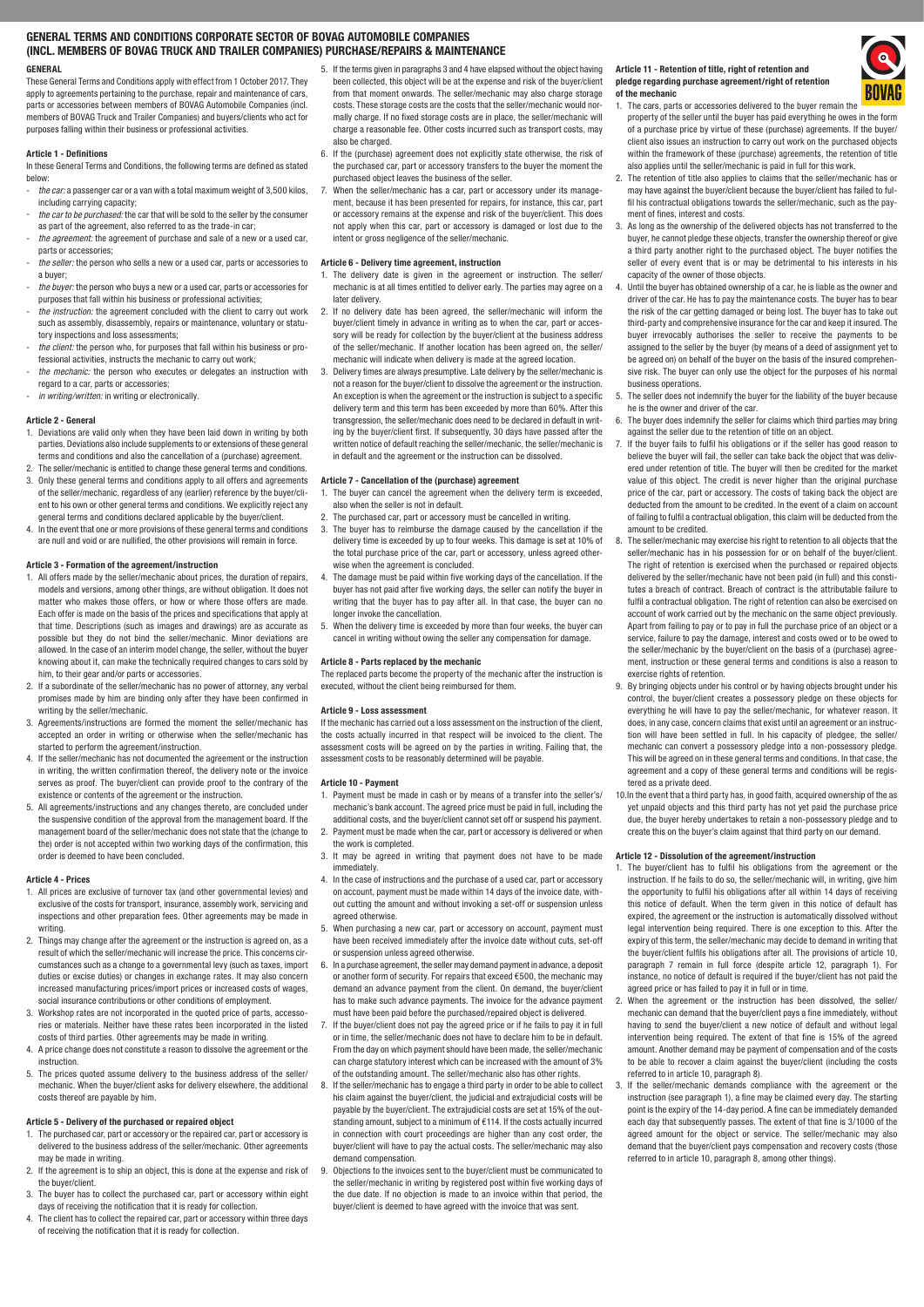# GENERAL TERMS AND CONDITIONS CORPORATE SECTOR OF BOVAG AUTOMOBILE COMPANIES (INCL. MEMBERS OF BOVAG TRUCK AND TRAILER COMPANIES) PURCHASE/REPAIRS & MAINTENANCE GENERAL

These General Terms and Conditions apply with effect from 1 October 2017. They apply to agreements pertaining to the purchase, repair and maintenance of cars, parts or accessories between members of BOVAG Automobile Companies (incl. members of BOVAG Truck and Trailer Companies) and buyers/clients who act for purposes falling within their business or professional activities.

### Article 1 - Definitions

In these General Terms and Conditions, the following terms are defined as stated below:

- the car: a passenger car or a van with a total maximum weight of 3,500 kilos, including carrying capacity; the car to be purchased: the car that will be sold to the seller by the consumer
- as part of the agreement, also referred to as the trade-in car; the agreement: the agreement of purchase and sale of a new or a used car.
- parts or accessories; the seller: the person who sells a new or a used car, parts or accessories to
- a buyer;
- the buyer: the person who buys a new or a used car, parts or accessories for purposes that fall within his business or professional activities; the instruction: the agreement concluded with the client to carry out work
- such as assembly, disassembly, repairs or maintenance, voluntary or statutory inspections and loss assessments;
- the client: the person who, for purposes that fall within his business or professional activities, instructs the mechanic to carry out work;
- the mechanic: the person who executes or delegates an instruction with regard to a car, parts or accessories;
- in writing/written: in writing or electronically

# Article 2 - General

- 1. Deviations are valid only when they have been laid down in writing by both parties. Deviations also include supplements to or extensions of these general terms and conditions and also the cancellation of a (purchase) agreement.
- 2. The seller/mechanic is entitled to change these general terms and conditions. 3. Only these general terms and conditions apply to all offers and agreements of the seller/mechanic, regardless of any (earlier) reference by the buyer/client to his own or other general terms and conditions. We explicitly reject any general terms and conditions declared applicable by the buyer/client.
- 4. In the event that one or more provisions of these general terms and conditions are null and void or are nullified, the other provisions will remain in force.

# Article 3 - Formation of the agreement/instruction

- 1. All offers made by the seller/mechanic about prices, the duration of repairs, models and versions, among other things, are without obligation. It does not matter who makes those offers, or how or where those offers are made. Each offer is made on the basis of the prices and specifications that apply at that time. Descriptions (such as images and drawings) are as accurate as possible but they do not bind the seller/mechanic. Minor deviations are allowed. In the case of an interim model change, the seller, without the buyer knowing about it, can make the technically required changes to cars sold by him, to their gear and/or parts or accessories.
- 2. If a subordinate of the seller/mechanic has no power of attorney, any verbal promises made by him are binding only after they have been confirmed in writing by the seller/mechanic.
- 3. Agreements/instructions are formed the moment the seller/mechanic has accepted an order in writing or otherwise when the seller/mechanic has started to perform the agreement/instruction.
- 4. If the seller/mechanic has not documented the agreement or the instruction in writing, the written confirmation thereof, the delivery note or the invoice serves as proof. The buyer/client can provide proof to the contrary of the existence or contents of the agreement or the instruction.
- 5. All agreements/instructions and any changes thereto, are concluded under the suspensive condition of the approval from the management board. If the management board of the seller/mechanic does not state that the (change to the) order is not accepted within two working days of the confirmation, this order is deemed to have been concluded.

### Article 4 - Prices

- 1. All prices are exclusive of turnover tax (and other governmental levies) and exclusive of the costs for transport, insurance, assembly work, servicing and inspections and other preparation fees. Other agreements may be made in writing.
- 2. Things may change after the agreement or the instruction is agreed on, as a result of which the seller/mechanic will increase the price. This concerns circumstances such as a change to a governmental levy (such as taxes, import duties or excise duties) or changes in exchange rates. It may also concern increased manufacturing prices/import prices or increased costs of wages, social insurance contributions or other conditions of employment.
- 3. Workshop rates are not incorporated in the quoted price of parts, accessories or materials. Neither have these rates been incorporated in the listed costs of third parties. Other agreements may be made in writing.
- 4. A price change does not constitute a reason to dissolve the agreement or the instruction.
- 5. The prices quoted assume delivery to the business address of the seller/ mechanic. When the buyer/client asks for delivery elsewhere, the additional costs thereof are payable by him.

#### Article 5 - Delivery of the purchased or repaired object

- The purchased car, part or accessory or the repaired car, part or accessory is delivered to the business address of the seller/mechanic. Other agreements may be made in writing.
- 2. If the agreement is to ship an object, this is done at the expense and risk of the buyer/client.
- 3. The buyer has to collect the purchased car, part or accessory within eight days of receiving the notification that it is ready for collection.
- 4. The client has to collect the repaired car, part or accessory within three days of receiving the notification that it is ready for collection.
- 5. If the terms given in paragraphs 3 and 4 have elapsed without the object having been collected, this object will be at the expense and risk of the buyer/client from that moment onwards. The seller/mechanic may also charge storage costs. These storage costs are the costs that the seller/mechanic would normally charge. If no fixed storage costs are in place, the seller/mechanic will charge a reasonable fee. Other costs incurred such as transport costs, may also be charged.
- 6. If the (purchase) agreement does not explicitly state otherwise, the risk of the purchased car, part or accessory transfers to the buyer the moment the purchased object leaves the business of the seller.
- 7. When the seller/mechanic has a car, part or accessory under its management, because it has been presented for repairs, for instance, this car, part or accessory remains at the expense and risk of the buyer/client. This does not apply when this car, part or accessory is damaged or lost due to the intent or gross negligence of the seller/mechanic.

#### Article 6 - Delivery time agreement, instruction

- 1. The delivery date is given in the agreement or instruction. The seller/ mechanic is at all times entitled to deliver early. The parties may agree on a later delivery.
- 2. If no delivery date has been agreed, the seller/mechanic will inform the buyer/client timely in advance in writing as to when the car, part or accessory will be ready for collection by the buyer/client at the business address of the seller/mechanic. If another location has been agreed on, the seller/ mechanic will indicate when delivery is made at the agreed location.
- 3. Delivery times are always presumptive. Late delivery by the seller/mechanic is not a reason for the buyer/client to dissolve the agreement or the instruction. An exception is when the agreement or the instruction is subject to a specific delivery term and this term has been exceeded by more than 60%. After this transgression, the seller/mechanic does need to be declared in default in writing by the buyer/client first. If subsequently, 30 days have passed after the written notice of default reaching the seller/mechanic, the seller/mechanic is in default and the agreement or the instruction can be dissolved.

### Article 7 - Cancellation of the (purchase) agreement

- The buyer can cancel the agreement when the delivery term is exceeded, also when the seller is not in default.
- 2. The purchased car, part or accessory must be cancelled in writing.
- 3. The buyer has to reimburse the damage caused by the cancellation if the delivery time is exceeded by up to four weeks. This damage is set at 10% of the total purchase price of the car, part or accessory, unless agreed otherwise when the agreement is concluded.
- 4. The damage must be paid within five working days of the cancellation. If the buyer has not paid after five working days, the seller can notify the buyer in writing that the buyer has to pay after all. In that case, the buyer can no longer invoke the cancellation.
- 5. When the delivery time is exceeded by more than four weeks, the buyer can cancel in writing without owing the seller any compensation for damage.

# Article 8 - Parts replaced by the mechanic

The replaced parts become the property of the mechanic after the instruction is executed, without the client being reimbursed for them.

# Article 9 - Loss assessment

If the mechanic has carried out a loss assessment on the instruction of the client, the costs actually incurred in that respect will be invoiced to the client. The assessment costs will be agreed on by the parties in writing. Failing that, the assessment costs to be reasonably determined will be payable.

#### Article 10 - Payment

- 1. Payment must be made in cash or by means of a transfer into the seller's/ mechanic's bank account. The agreed price must be paid in full, including the additional costs, and the buyer/client cannot set off or suspend his payment.
- 2. Payment must be made when the car, part or accessory is delivered or when the work is completed.
- 3. It may be agreed in writing that payment does not have to be made immediately.
- 4. In the case of instructions and the purchase of a used car, part or accessory on account, payment must be made within 14 days of the invoice date, without cutting the amount and without invoking a set-off or suspension unless agreed otherwise.
- 5. When purchasing a new car, part or accessory on account, payment must have been received immediately after the invoice date without cuts, set-off or suspension unless agreed otherwise.
- 6. In a purchase agreement, the seller may demand payment in advance, a deposit or another form of security. For repairs that exceed €500, the mechanic may demand an advance payment from the client. On demand, the buyer/client has to make such advance payments. The invoice for the advance payment must have been paid before the purchased/repaired object is delivered.
- 7. If the buyer/client does not pay the agreed price or if he fails to pay it in full or in time, the seller/mechanic does not have to declare him to be in default. From the day on which payment should have been made, the seller/mechanic can charge statutory interest which can be increased with the amount of 3% of the outstanding amount. The seller/mechanic also has other rights.
- 8. If the seller/mechanic has to engage a third party in order to be able to collect his claim against the buyer/client, the judicial and extrajudicial costs will be payable by the buyer/client. The extrajudicial costs are set at 15% of the outstanding amount, subject to a minimum of €114. If the costs actually incurred in connection with court proceedings are higher than any cost order, the buyer/client will have to pay the actual costs. The seller/mechanic may also demand compensation.
- 9. Objections to the invoices sent to the buyer/client must be communicated to the seller/mechanic in writing by registered post within five working days of the due date. If no objection is made to an invoice within that period, the buyer/client is deemed to have agreed with the invoice that was sent.

#### Article 11 - Retention of title, right of retention and pledge regarding purchase agreement/right of retention of the mechanic

- 1. The cars, parts or accessories delivered to the buyer remain the property of the seller until the buyer has paid everything he owes in the form of a purchase price by virtue of these (purchase) agreements. If the buyer/ client also issues an instruction to carry out work on the purchased objects within the framework of these (purchase) agreements, the retention of title also applies until the seller/mechanic is paid in full for this work.
- 2. The retention of title also applies to claims that the seller/mechanic has or may have against the buyer/client because the buyer/client has failed to fulfil his contractual obligations towards the seller/mechanic, such as the payment of fines, interest and costs.
- 3. As long as the ownership of the delivered objects has not transferred to the buyer, he cannot pledge these objects, transfer the ownership thereof or give a third party another right to the purchased object. The buyer notifies the seller of every event that is or may be detrimental to his interests in his capacity of the owner of those objects.
- 4. Until the buyer has obtained ownership of a car, he is liable as the owner and driver of the car. He has to pay the maintenance costs. The buyer has to bear the risk of the car getting damaged or being lost. The buyer has to take out third-party and comprehensive insurance for the car and keep it insured. The buyer irrevocably authorises the seller to receive the payments to be assigned to the seller by the buyer (by means of a deed of assignment yet to be agreed on) on behalf of the buyer on the basis of the insured comprehensive risk. The buyer can only use the object for the purposes of his normal business operations.
- 5. The seller does not indemnify the buyer for the liability of the buyer because he is the owner and driver of the car.
- 6. The buyer does indemnify the seller for claims which third parties may bring against the seller due to the retention of title on an object.
- 7. If the buyer fails to fulfil his obligations or if the seller has good reason to believe the buyer will fail, the seller can take back the object that was delivered under retention of title. The buyer will then be credited for the market value of this object. The credit is never higher than the original purchase price of the car, part or accessory. The costs of taking back the object are deducted from the amount to be credited. In the event of a claim on account of failing to fulfil a contractual obligation, this claim will be deducted from the amount to be credited.
- 8. The seller/mechanic may exercise his right to retention to all objects that the seller/mechanic has in his possession for or on behalf of the buyer/client. The right of retention is exercised when the purchased or repaired objects delivered by the seller/mechanic have not been paid (in full) and this constitutes a breach of contract. Breach of contract is the attributable failure to fulfil a contractual obligation. The right of retention can also be exercised on account of work carried out by the mechanic on the same object previously. Apart from failing to pay or to pay in full the purchase price of an object or a service, failure to pay the damage, interest and costs owed or to be owed to the seller/mechanic by the buyer/client on the basis of a (purchase) agreement, instruction or these general terms and conditions is also a reason to exercise rights of retention
- 9. By bringing objects under his control or by having objects brought under his control, the buyer/client creates a possessory pledge on these objects for everything he will have to pay the seller/mechanic, for whatever reason. It does, in any case, concern claims that exist until an agreement or an instruction will have been settled in full. In his capacity of pledgee, the seller/ mechanic can convert a possessory pledge into a non-possessory pledge. This will be agreed on in these general terms and conditions. In that case, the agreement and a copy of these general terms and conditions will be registered as a private deed.
- 10.In the event that a third party has, in good faith, acquired ownership of the as yet unpaid objects and this third party has not yet paid the purchase price due, the buyer hereby undertakes to retain a non-possessory pledge and to create this on the buyer's claim against that third party on our demand.

### Article 12 - Dissolution of the agreement/instruction

- 1. The buyer/client has to fulfil his obligations from the agreement or the instruction. If he fails to do so, the seller/mechanic will, in writing, give him the opportunity to fulfil his obligations after all within 14 days of receiving this notice of default. When the term given in this notice of default has expired, the agreement or the instruction is automatically dissolved without legal intervention being required. There is one exception to this. After the expiry of this term, the seller/mechanic may decide to demand in writing that the buyer/client fulfils his obligations after all. The provisions of article 10, paragraph 7 remain in full force (despite article 12, paragraph 1). For instance, no notice of default is required if the buyer/client has not paid the agreed price or has failed to pay it in full or in time.
- 2. When the agreement or the instruction has been dissolved, the seller/ mechanic can demand that the buyer/client pays a fine immediately, without having to send the buyer/client a new notice of default and without legal intervention being required. The extent of that fine is 15% of the agreed amount. Another demand may be payment of compensation and of the costs to be able to recover a claim against the buyer/client (including the costs referred to in article 10, paragraph 8).
- 3. If the seller/mechanic demands compliance with the agreement or the instruction (see paragraph 1), a fine may be claimed every day. The starting point is the expiry of the 14-day period. A fine can be immediately demanded each day that subsequently passes. The extent of that fine is 3/1000 of the agreed amount for the object or service. The seller/mechanic may also demand that the buyer/client pays compensation and recovery costs (those referred to in article 10, paragraph 8, among other things).